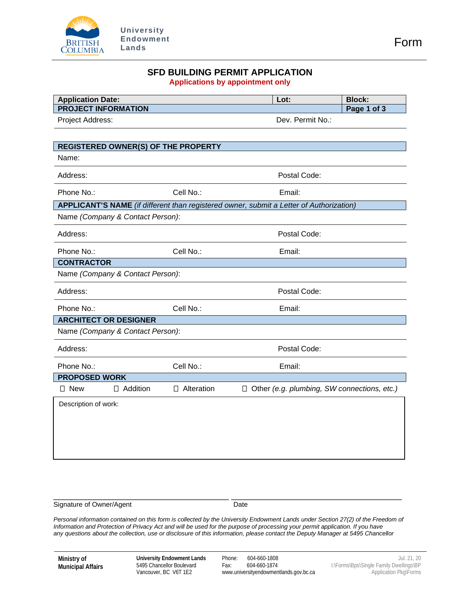

#### **SFD BUILDING PERMIT APPLICATION Applications by appointment only**

| <b>Application Date:</b>                   |                   | Lot:                                                                                    | <b>Block:</b> |
|--------------------------------------------|-------------------|-----------------------------------------------------------------------------------------|---------------|
| <b>PROJECT INFORMATION</b>                 |                   |                                                                                         | Page 1 of 3   |
| Project Address:                           |                   | Dev. Permit No.:                                                                        |               |
|                                            |                   |                                                                                         |               |
| <b>REGISTERED OWNER(S) OF THE PROPERTY</b> |                   |                                                                                         |               |
| Name:                                      |                   |                                                                                         |               |
| Address:                                   |                   | Postal Code:                                                                            |               |
| Phone No.:                                 | Cell No.:         | Email:                                                                                  |               |
|                                            |                   | APPLICANT'S NAME (if different than registered owner, submit a Letter of Authorization) |               |
| Name (Company & Contact Person):           |                   |                                                                                         |               |
| Address:                                   |                   | Postal Code:                                                                            |               |
| Phone No.:                                 | Cell No.:         | Email:                                                                                  |               |
| <b>CONTRACTOR</b>                          |                   |                                                                                         |               |
| Name (Company & Contact Person):           |                   |                                                                                         |               |
| Address:                                   |                   | Postal Code:                                                                            |               |
| Phone No.:                                 | Cell No.:         | Email:                                                                                  |               |
| <b>ARCHITECT OR DESIGNER</b>               |                   |                                                                                         |               |
| Name (Company & Contact Person):           |                   |                                                                                         |               |
| Address:                                   |                   | Postal Code:                                                                            |               |
| Phone No.:                                 | Cell No.:         | Email:                                                                                  |               |
| <b>PROPOSED WORK</b>                       |                   |                                                                                         |               |
| $\square$ New<br>$\Box$ Addition           | $\Box$ Alteration | $\Box$ Other (e.g. plumbing, SW connections, etc.)                                      |               |
| Description of work:                       |                   |                                                                                         |               |
|                                            |                   |                                                                                         |               |
|                                            |                   |                                                                                         |               |

\_\_\_\_\_\_\_\_\_\_\_\_\_\_\_\_\_\_\_\_\_\_\_\_\_\_\_\_\_\_\_\_\_\_\_\_\_\_ \_\_\_\_\_\_\_\_\_\_\_\_\_\_\_\_\_\_\_\_\_\_\_\_\_\_\_\_\_\_\_\_\_\_\_\_\_ Signature of Owner/Agent **Date** Date

*Personal information contained on this form is collected by the University Endowment Lands under Section 27(2) of the Freedom of Information and Protection of Privacy Act and will be used for the purpose of processing your permit application. If you have any questions about the collection, use or disclosure of this information, please contact the Deputy Manager at 5495 Chancellor*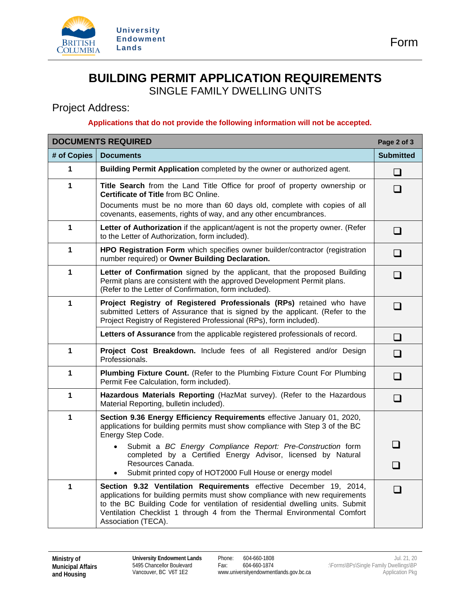

## **BUILDING PERMIT APPLICATION REQUIREMENTS**  SINGLE FAMILY DWELLING UNITS

## Project Address:

## **Applications that do not provide the following information will not be accepted.**

| <b>DOCUMENTS REQUIRED</b><br>Page 2 of 3 |                                                                                                                                                                                                                                                                                                                                        |                  |  |  |  |
|------------------------------------------|----------------------------------------------------------------------------------------------------------------------------------------------------------------------------------------------------------------------------------------------------------------------------------------------------------------------------------------|------------------|--|--|--|
| # of Copies                              | <b>Documents</b>                                                                                                                                                                                                                                                                                                                       | <b>Submitted</b> |  |  |  |
| 1                                        | Building Permit Application completed by the owner or authorized agent.                                                                                                                                                                                                                                                                | $\Box$           |  |  |  |
| $\mathbf{1}$                             | Title Search from the Land Title Office for proof of property ownership or<br>Certificate of Title from BC Online.<br>Documents must be no more than 60 days old, complete with copies of all<br>covenants, easements, rights of way, and any other encumbrances.                                                                      | H                |  |  |  |
| 1                                        | Letter of Authorization if the applicant/agent is not the property owner. (Refer<br>to the Letter of Authorization, form included).                                                                                                                                                                                                    | ⊔                |  |  |  |
| 1                                        | HPO Registration Form which specifies owner builder/contractor (registration<br>number required) or Owner Building Declaration.                                                                                                                                                                                                        | ⊔                |  |  |  |
| 1                                        | Letter of Confirmation signed by the applicant, that the proposed Building<br>Permit plans are consistent with the approved Development Permit plans.<br>(Refer to the Letter of Confirmation, form included).                                                                                                                         | $\blacksquare$   |  |  |  |
| 1                                        | Project Registry of Registered Professionals (RPs) retained who have<br>submitted Letters of Assurance that is signed by the applicant. (Refer to the<br>Project Registry of Registered Professional (RPs), form included).                                                                                                            | ப                |  |  |  |
|                                          | Letters of Assurance from the applicable registered professionals of record.                                                                                                                                                                                                                                                           | $\Box$           |  |  |  |
| 1                                        | Project Cost Breakdown. Include fees of all Registered and/or Design<br>Professionals.                                                                                                                                                                                                                                                 | $\Box$           |  |  |  |
| 1                                        | Plumbing Fixture Count. (Refer to the Plumbing Fixture Count For Plumbing<br>Permit Fee Calculation, form included).                                                                                                                                                                                                                   | $\mathsf{L}$     |  |  |  |
| 1                                        | Hazardous Materials Reporting (HazMat survey). (Refer to the Hazardous<br>Material Reporting, bulletin included).                                                                                                                                                                                                                      | $\Box$           |  |  |  |
| $\mathbf{1}$                             | Section 9.36 Energy Efficiency Requirements effective January 01, 2020,<br>applications for building permits must show compliance with Step 3 of the BC<br>Energy Step Code.                                                                                                                                                           |                  |  |  |  |
|                                          | Submit a BC Energy Compliance Report: Pre-Construction form<br>$\bullet$<br>completed by a Certified Energy Advisor, licensed by Natural                                                                                                                                                                                               |                  |  |  |  |
|                                          | Resources Canada.<br>Submit printed copy of HOT2000 Full House or energy model<br>$\bullet$                                                                                                                                                                                                                                            |                  |  |  |  |
| $\mathbf{1}$                             | Section 9.32 Ventilation Requirements effective December 19, 2014,<br>applications for building permits must show compliance with new requirements<br>to the BC Building Code for ventilation of residential dwelling units. Submit<br>Ventilation Checklist 1 through 4 from the Thermal Environmental Comfort<br>Association (TECA). | $\sqcup$         |  |  |  |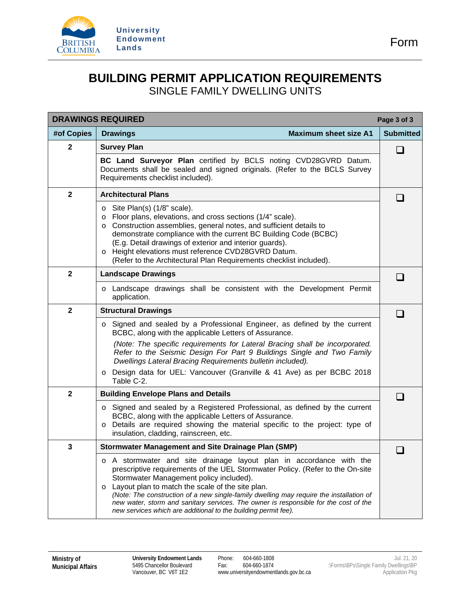

# **BUILDING PERMIT APPLICATION REQUIREMENTS**  SINGLE FAMILY DWELLING UNITS

| <b>DRAWINGS REQUIRED</b><br>Page 3 of 3 |                                                                                                                                                                                                                                                                                                                                                                                                                                                                                                                     |                  |  |  |  |
|-----------------------------------------|---------------------------------------------------------------------------------------------------------------------------------------------------------------------------------------------------------------------------------------------------------------------------------------------------------------------------------------------------------------------------------------------------------------------------------------------------------------------------------------------------------------------|------------------|--|--|--|
| #of Copies                              | <b>Maximum sheet size A1</b><br><b>Drawings</b>                                                                                                                                                                                                                                                                                                                                                                                                                                                                     | <b>Submitted</b> |  |  |  |
| $\mathbf{2}$                            | <b>Survey Plan</b>                                                                                                                                                                                                                                                                                                                                                                                                                                                                                                  |                  |  |  |  |
|                                         | BC Land Surveyor Plan certified by BCLS noting CVD28GVRD Datum.<br>Documents shall be sealed and signed originals. (Refer to the BCLS Survey<br>Requirements checklist included).                                                                                                                                                                                                                                                                                                                                   |                  |  |  |  |
| $\mathbf{2}$                            | <b>Architectural Plans</b>                                                                                                                                                                                                                                                                                                                                                                                                                                                                                          | H                |  |  |  |
|                                         | Site Plan(s) (1/8" scale).<br>$\circ$<br>Floor plans, elevations, and cross sections (1/4" scale).<br>$\circ$<br>Construction assemblies, general notes, and sufficient details to<br>$\circ$<br>demonstrate compliance with the current BC Building Code (BCBC)<br>(E.g. Detail drawings of exterior and interior guards).<br>Height elevations must reference CVD28GVRD Datum.<br>$\circ$<br>(Refer to the Architectural Plan Requirements checklist included).                                                   |                  |  |  |  |
| $\overline{\mathbf{2}}$                 | <b>Landscape Drawings</b>                                                                                                                                                                                                                                                                                                                                                                                                                                                                                           |                  |  |  |  |
|                                         | Landscape drawings shall be consistent with the Development Permit<br>$\circ$<br>application.                                                                                                                                                                                                                                                                                                                                                                                                                       |                  |  |  |  |
| $\mathbf{2}$                            | <b>Structural Drawings</b>                                                                                                                                                                                                                                                                                                                                                                                                                                                                                          |                  |  |  |  |
|                                         | Signed and sealed by a Professional Engineer, as defined by the current<br>$\circ$<br>BCBC, along with the applicable Letters of Assurance.                                                                                                                                                                                                                                                                                                                                                                         |                  |  |  |  |
|                                         | (Note: The specific requirements for Lateral Bracing shall be incorporated.<br>Refer to the Seismic Design For Part 9 Buildings Single and Two Family<br>Dwellings Lateral Bracing Requirements bulletin included).                                                                                                                                                                                                                                                                                                 |                  |  |  |  |
|                                         | Design data for UEL: Vancouver (Granville & 41 Ave) as per BCBC 2018<br>$\circ$<br>Table C-2.                                                                                                                                                                                                                                                                                                                                                                                                                       |                  |  |  |  |
| $\mathbf{2}$                            | <b>Building Envelope Plans and Details</b>                                                                                                                                                                                                                                                                                                                                                                                                                                                                          | H                |  |  |  |
|                                         | Signed and sealed by a Registered Professional, as defined by the current<br>$\circ$<br>BCBC, along with the applicable Letters of Assurance.<br>Details are required showing the material specific to the project: type of<br>$\circ$<br>insulation, cladding, rainscreen, etc.                                                                                                                                                                                                                                    |                  |  |  |  |
| 3                                       | <b>Stormwater Management and Site Drainage Plan (SMP)</b>                                                                                                                                                                                                                                                                                                                                                                                                                                                           |                  |  |  |  |
|                                         | o A stormwater and site drainage layout plan in accordance with the<br>prescriptive requirements of the UEL Stormwater Policy. (Refer to the On-site<br>Stormwater Management policy included).<br>Layout plan to match the scale of the site plan.<br>$\circ$<br>(Note: The construction of a new single-family dwelling may require the installation of<br>new water, storm and sanitary services. The owner is responsible for the cost of the<br>new services which are additional to the building permit fee). |                  |  |  |  |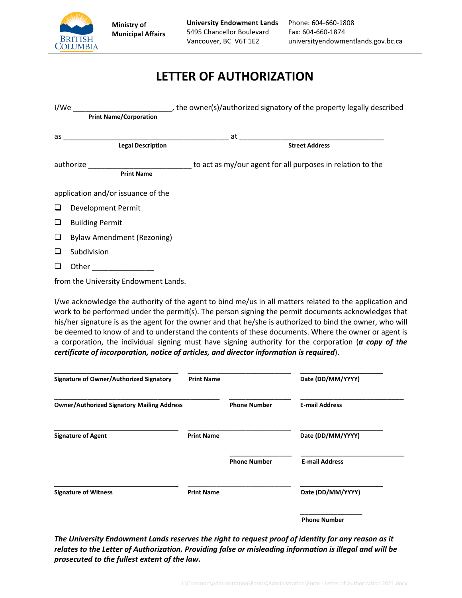

# **LETTER OF AUTHORIZATION**

| I/We   | <b>Print Name/Corporation</b>        | the owner(s)/authorized signatory of the property legally described                                    |
|--------|--------------------------------------|--------------------------------------------------------------------------------------------------------|
|        | <b>Legal Description</b>             | <b>Street Address</b>                                                                                  |
|        | <b>Print Name</b>                    | authorize __________________________________to act as my/our agent for all purposes in relation to the |
|        | application and/or issuance of the   |                                                                                                        |
| ❏      | <b>Development Permit</b>            |                                                                                                        |
| □      | <b>Building Permit</b>               |                                                                                                        |
| $\Box$ | <b>Bylaw Amendment (Rezoning)</b>    |                                                                                                        |
| ⊔      | Subdivision                          |                                                                                                        |
| ப      | Other __________________             |                                                                                                        |
|        | from the University Endowment Lands. |                                                                                                        |

I/we acknowledge the authority of the agent to bind me/us in all matters related to the application and work to be performed under the permit(s). The person signing the permit documents acknowledges that his/her signature is as the agent for the owner and that he/she is authorized to bind the owner, who will be deemed to know of and to understand the contents of these documents. Where the owner or agent is a corporation, the individual signing must have signing authority for the corporation (*a copy of the certificate of incorporation, notice of articles, and director information is required*).

| Signature of Owner/Authorized Signatory           | <b>Print Name</b> |                     | Date (DD/MM/YYYY)     |
|---------------------------------------------------|-------------------|---------------------|-----------------------|
| <b>Owner/Authorized Signatory Mailing Address</b> |                   | <b>Phone Number</b> | <b>E-mail Address</b> |
| <b>Signature of Agent</b>                         | <b>Print Name</b> |                     | Date (DD/MM/YYYY)     |
|                                                   |                   | <b>Phone Number</b> | <b>E-mail Address</b> |
| <b>Signature of Witness</b>                       | <b>Print Name</b> |                     | Date (DD/MM/YYYY)     |
|                                                   |                   |                     | <b>Phone Number</b>   |

*The University Endowment Lands reserves the right to request proof of identity for any reason as it relates to the Letter of Authorization. Providing false or misleading information is illegal and will be prosecuted to the fullest extent of the law.*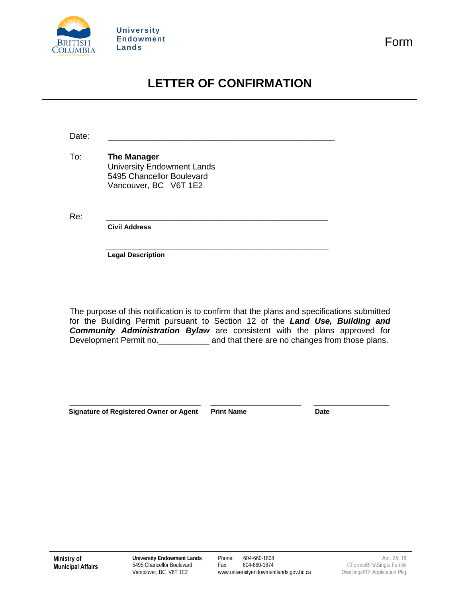

# **LETTER OF CONFIRMATION**

Date: \_\_\_\_\_\_\_\_\_\_\_\_\_\_\_\_\_\_\_\_\_\_\_\_\_\_\_\_\_\_\_\_\_\_\_\_\_\_\_\_\_\_\_\_\_

To: **The Manager** University Endowment Lands 5495 Chancellor Boulevard Vancouver, BC V6T 1E2

Re: \_\_\_\_\_\_\_\_\_\_\_\_\_\_\_\_\_\_\_\_\_\_\_\_\_\_\_\_\_\_\_\_\_\_\_\_\_\_\_\_\_\_\_\_

**Civil Address**

 \_\_\_\_\_\_\_\_\_\_\_\_\_\_\_\_\_\_\_\_\_\_\_\_\_\_\_\_\_\_\_\_\_\_\_\_\_\_\_\_\_\_\_\_\_\_\_\_\_\_\_\_\_\_\_\_\_\_\_ **Legal Description**

The purpose of this notification is to confirm that the plans and specifications submitted for the Building Permit pursuant to Section 12 of the *Land Use, Building and Community Administration Bylaw* are consistent with the plans approved for Development Permit no.<br>
<u>
</u>
and that there are no changes from those plans.

Signature of Registered Owner or Agent Print Name **Date** Date

\_\_\_\_\_\_\_\_\_\_\_\_\_\_\_\_\_\_\_\_\_\_\_\_\_\_ \_\_\_\_\_\_\_\_\_\_\_\_\_\_\_\_\_\_ \_\_\_\_\_\_\_\_\_\_\_\_\_\_\_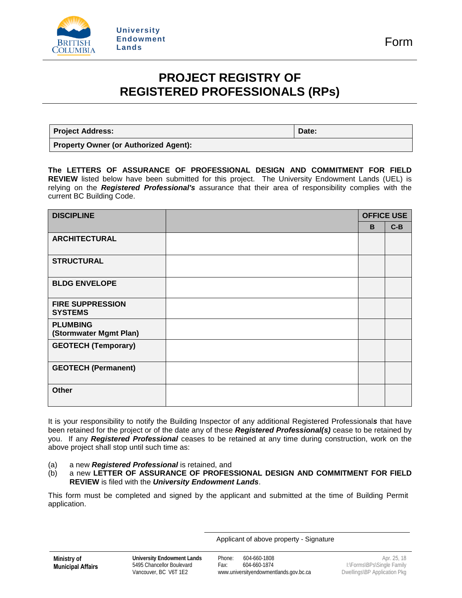

## **PROJECT REGISTRY OF REGISTERED PROFESSIONALS (RPs)**

**Project Address: Date:**

**Property Owner (or Authorized Agent):**

**The LETTERS OF ASSURANCE OF PROFESSIONAL DESIGN AND COMMITMENT FOR FIELD REVIEW** listed below have been submitted for this project. The University Endowment Lands (UEL) is relying on the *Registered Professional's* assurance that their area of responsibility complies with the current BC Building Code.

| <b>DISCIPLINE</b>                         | <b>OFFICE USE</b> |       |  |
|-------------------------------------------|-------------------|-------|--|
|                                           | B                 | $C-B$ |  |
| <b>ARCHITECTURAL</b>                      |                   |       |  |
| <b>STRUCTURAL</b>                         |                   |       |  |
| <b>BLDG ENVELOPE</b>                      |                   |       |  |
| <b>FIRE SUPPRESSION</b><br><b>SYSTEMS</b> |                   |       |  |
| <b>PLUMBING</b><br>(Stormwater Mgmt Plan) |                   |       |  |
| <b>GEOTECH (Temporary)</b>                |                   |       |  |
| <b>GEOTECH (Permanent)</b>                |                   |       |  |
| <b>Other</b>                              |                   |       |  |

It is your responsibility to notify the Building Inspector of any additional Registered Professional*s* that have been retained for the project or of the date any of these *Registered Professional(s)* cease to be retained by you. If any *Registered Professional* ceases to be retained at any time during construction, work on the above project shall stop until such time as:

- (a) a new *Registered Professional* is retained, and
- (b) a new **LETTER OF ASSURANCE OF PROFESSIONAL DESIGN AND COMMITMENT FOR FIELD REVIEW** is filed with the *University Endowment Lands*.

This form must be completed and signed by the applicant and submitted at the time of Building Permit application.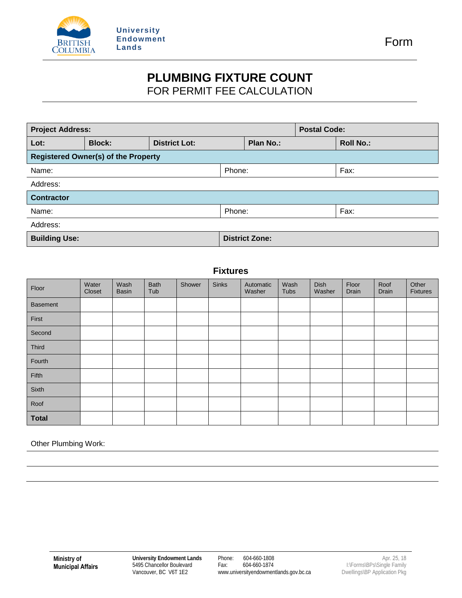

## **PLUMBING FIXTURE COUNT**  FOR PERMIT FEE CALCULATION

| <b>Project Address:</b>                       |  |  |           |                       | <b>Postal Code:</b> |      |
|-----------------------------------------------|--|--|-----------|-----------------------|---------------------|------|
| <b>District Lot:</b><br><b>Block:</b><br>Lot: |  |  | Plan No.: |                       | <b>Roll No.:</b>    |      |
| <b>Registered Owner(s) of the Property</b>    |  |  |           |                       |                     |      |
| Name:                                         |  |  | Phone:    |                       |                     | Fax: |
| Address:                                      |  |  |           |                       |                     |      |
| <b>Contractor</b>                             |  |  |           |                       |                     |      |
| Name:                                         |  |  | Phone:    |                       |                     | Fax: |
| Address:                                      |  |  |           |                       |                     |      |
| <b>Building Use:</b>                          |  |  |           | <b>District Zone:</b> |                     |      |

## **Fixtures**

| Floor           | Water<br>Closet | Wash<br><b>Basin</b> | <b>Bath</b><br>Tub | Shower | <b>Sinks</b> | Automatic<br>Washer | Wash<br><b>Tubs</b> | Dish<br>Washer | Floor<br>Drain | Roof<br>Drain | Other<br><b>Fixtures</b> |
|-----------------|-----------------|----------------------|--------------------|--------|--------------|---------------------|---------------------|----------------|----------------|---------------|--------------------------|
| <b>Basement</b> |                 |                      |                    |        |              |                     |                     |                |                |               |                          |
| First           |                 |                      |                    |        |              |                     |                     |                |                |               |                          |
| Second          |                 |                      |                    |        |              |                     |                     |                |                |               |                          |
| Third           |                 |                      |                    |        |              |                     |                     |                |                |               |                          |
| Fourth          |                 |                      |                    |        |              |                     |                     |                |                |               |                          |
| Fifth           |                 |                      |                    |        |              |                     |                     |                |                |               |                          |
| Sixth           |                 |                      |                    |        |              |                     |                     |                |                |               |                          |
| Roof            |                 |                      |                    |        |              |                     |                     |                |                |               |                          |
| <b>Total</b>    |                 |                      |                    |        |              |                     |                     |                |                |               |                          |

Other Plumbing Work: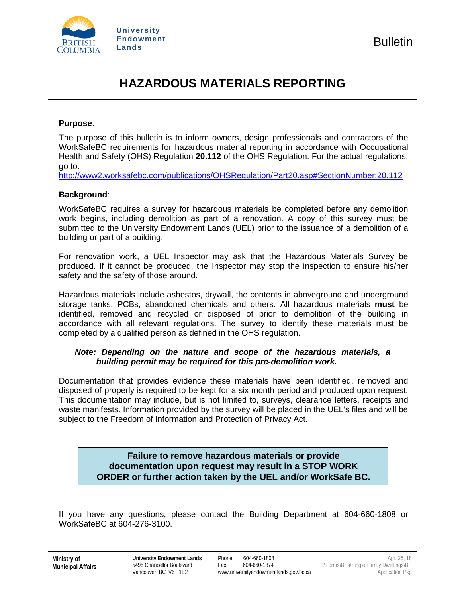

# **HAZARDOUS MATERIALS REPORTING**

### **Purpose**:

The purpose of this bulletin is to inform owners, design professionals and contractors of the WorkSafeBC requirements for hazardous material reporting in accordance with Occupational Health and Safety (OHS) Regulation **20.112** of the OHS Regulation. For the actual regulations, go to:

<http://www2.worksafebc.com/publications/OHSRegulation/Part20.asp#SectionNumber:20.112>

## **Background**:

WorkSafeBC requires a survey for hazardous materials be completed before any demolition work begins, including demolition as part of a renovation. A copy of this survey must be submitted to the University Endowment Lands (UEL) prior to the issuance of a demolition of a building or part of a building.

For renovation work, a UEL Inspector may ask that the Hazardous Materials Survey be produced. If it cannot be produced, the Inspector may stop the inspection to ensure his/her safety and the safety of those around.

Hazardous materials include asbestos, drywall, the contents in aboveground and underground storage tanks, PCBs, abandoned chemicals and others. All hazardous materials **must** be identified, removed and recycled or disposed of prior to demolition of the building in accordance with all relevant regulations. The survey to identify these materials must be completed by a qualified person as defined in the OHS regulation.

## *Note: Depending on the nature and scope of the hazardous materials, a building permit may be required for this pre-demolition work.*

Documentation that provides evidence these materials have been identified, removed and disposed of properly is required to be kept for a six month period and produced upon request. This documentation may include, but is not limited to, surveys, clearance letters, receipts and waste manifests. Information provided by the survey will be placed in the UEL's files and will be subject to the Freedom of Information and Protection of Privacy Act.

## **Failure to remove hazardous materials or provide documentation upon request may result in a STOP WORK ORDER or further action taken by the UEL and/or WorkSafe BC.**

If you have any questions, please contact the Building Department at 604-660-1808 or WorkSafeBC at 604-276-3100.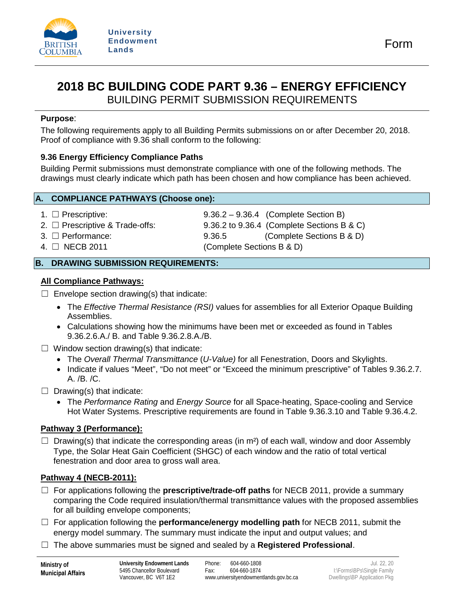

## **2018 BC BUILDING CODE PART 9.36 – ENERGY EFFICIENCY**  BUILDING PERMIT SUBMISSION REQUIREMENTS

**Purpose**:

The following requirements apply to all Building Permits submissions on or after December 20, 2018. Proof of compliance with 9.36 shall conform to the following:

## **9.36 Energy Efficiency Compliance Paths**

Building Permit submissions must demonstrate compliance with one of the following methods. The drawings must clearly indicate which path has been chosen and how compliance has been achieved.

## **A. COMPLIANCE PATHWAYS (Choose one):**

- 
- 
- 
- 

1. ☐ Prescriptive: 9.36.2 – 9.36.4 (Complete Section B) 2. ☐ Prescriptive & Trade-offs: 9.36.2 to 9.36.4 (Complete Sections B & C) 3. ☐ Performance: 9.36.5 (Complete Sections B & D) 4. ☐ NECB 2011 (Complete Sections B & D)

## **B. DRAWING SUBMISSION REQUIREMENTS:**

## **All Compliance Pathways:**

 $\Box$  Envelope section drawing(s) that indicate:

- The *Effective Thermal Resistance (RSI)* values for assemblies for all Exterior Opaque Building Assemblies.
- Calculations showing how the minimums have been met or exceeded as found in Tables 9.36.2.6.A./ B. and Table 9.36.2.8.A./B.
- $\Box$  Window section drawing(s) that indicate:
	- The *Overall Thermal Transmittance* (*U-Value)* for all Fenestration, Doors and Skylights.
	- Indicate if values "Meet", "Do not meet" or "Exceed the minimum prescriptive" of Tables 9.36.2.7. A. /B. /C.
- $\Box$  Drawing(s) that indicate:
	- The *Performance Rating* and *Energy Source* for all Space-heating, Space-cooling and Service Hot Water Systems. Prescriptive requirements are found in Table 9.36.3.10 and Table 9.36.4.2.

## **Pathway 3 (Performance):**

 $\Box$  Drawing(s) that indicate the corresponding areas (in m<sup>2</sup>) of each wall, window and door Assembly Type, the Solar Heat Gain Coefficient (SHGC) of each window and the ratio of total vertical fenestration and door area to gross wall area.

## **Pathway 4 (NECB-2011):**

- ☐ For applications following the **prescriptive/trade-off paths** for NECB 2011, provide a summary comparing the Code required insulation/thermal transmittance values with the proposed assemblies for all building envelope components;
- ☐ For application following the **performance/energy modelling path** for NECB 2011, submit the energy model summary. The summary must indicate the input and output values; and
- ☐ The above summaries must be signed and sealed by a **Registered Professional**.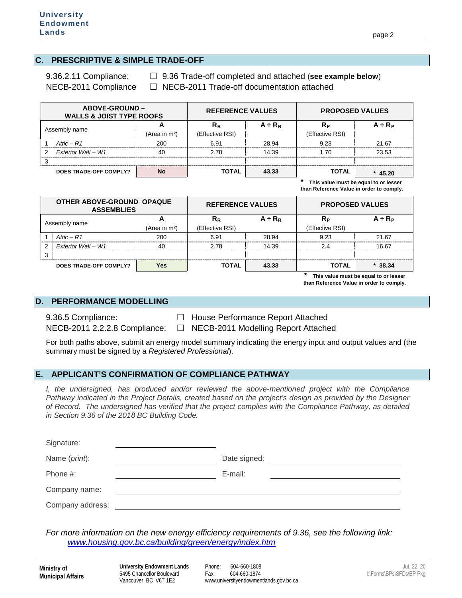#### **C. PRESCRIPTIVE & SIMPLE TRADE-OFF**

9.36.2.11 Compliance: ☐ 9.36 Trade-off completed and attached (**see example below**) NECB-2011 Compliance □ NECB-2011 Trade-off documentation attached

| <b>ABOVE-GROUND –</b><br><b>WALLS &amp; JOIST TYPE ROOFS</b> |                               |                      | <b>REFERENCE VALUES</b>  |              |                       | <b>PROPOSED VALUES</b> |
|--------------------------------------------------------------|-------------------------------|----------------------|--------------------------|--------------|-----------------------|------------------------|
|                                                              | Assembly name                 | н<br>(Area in $m2$ ) | $R_R$<br>(Effective RSI) | $A \div R_R$ | Rр<br>(Effective RSI) | $A + R_P$              |
|                                                              | Attic $- R1$                  | 200                  | 6.91                     | 28.94        | 9.23                  | 21.67                  |
| $\mathcal{P}$                                                | <b>Fxterior Wall - W1</b>     | 40                   | 2.78                     | 14.39        | 1.70                  | 23.53                  |
| 3                                                            |                               |                      |                          |              |                       |                        |
|                                                              | <b>DOES TRADE-OFF COMPLY?</b> | No                   | <b>TOTAL</b>             | 43.33        | <b>TOTAL</b>          | $*$ 45.20              |

**\* This value must be equal to or lesser than Reference Value in order to comply.**

| OTHER ABOVE-GROUND OPAQUE<br><b>ASSEMBLIES</b> |                        |                           | <b>REFERENCE VALUES</b> |           | <b>PROPOSED VALUES</b> |           |
|------------------------------------------------|------------------------|---------------------------|-------------------------|-----------|------------------------|-----------|
| Assembly name                                  |                        |                           | $R_R$                   | $A + R_R$ | Rь                     | $A + R_P$ |
|                                                |                        | (Area in m <sup>2</sup> ) | (Effective RSI)         |           | (Effective RSI)        |           |
|                                                | Attic $- R1$           | 200                       | 6.91                    | 28.94     | 9.23                   | 21.67     |
| 2                                              | Exterior Wall - W1     | 40                        | 2.78                    | 14.39     | 24                     | 16.67     |
| 3                                              |                        |                           |                         |           |                        |           |
|                                                | DOES TRADE-OFF COMPLY? | Yes                       | <b>TOTAL</b>            | 43.33     | TOTAL                  | 38.34     |

**\* This value must be equal to or lesser than Reference Value in order to comply.**

#### **D. PERFORMANCE MODELLING**

9.36.5 Compliance: □ □ House Performance Report Attached

NECB-2011 2.2.2.8 Compliance: □ NECB-2011 Modelling Report Attached

For both paths above, submit an energy model summary indicating the energy input and output values and (the summary must be signed by a *Registered Professional*).

### **E. APPLICANT'S CONFIRMATION OF COMPLIANCE PATHWAY**

*I, the undersigned, has produced and/or reviewed the above-mentioned project with the Compliance Pathway indicated in the Project Details, created based on the project's design as provided by the Designer of Record. The undersigned has verified that the project complies with the Compliance Pathway, as detailed in Section 9.36 of the 2018 BC Building Code.* 

| Signature:       |              |  |
|------------------|--------------|--|
| Name (print):    | Date signed: |  |
| Phone #:         | E-mail:      |  |
| Company name:    |              |  |
| Company address: |              |  |

*For more information on the new energy efficiency requirements of 9.36, see the following link: [www.housing.gov.bc.ca/building/green/energy/index.htm](http://www.housing.gov.bc.ca/building/green/energy/index.htm)*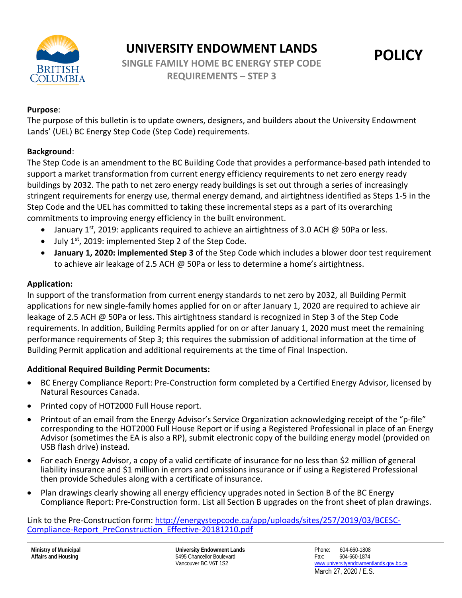

## **Purpose**:

The purpose of this bulletin is to update owners, designers, and builders about the University Endowment Lands' (UEL) BC Energy Step Code (Step Code) requirements.

## **Background**:

The Step Code is an amendment to the BC Building Code that provides a performance-based path intended to support a market transformation from current energy efficiency requirements to net zero energy ready buildings by 2032. The path to net zero energy ready buildings is set out through a series of increasingly stringent requirements for energy use, thermal energy demand, and airtightness identified as Steps 1-5 in the Step Code and the UEL has committed to taking these incremental steps as a part of its overarching commitments to improving energy efficiency in the built environment.

- January 1<sup>st</sup>, 2019: applicants required to achieve an airtightness of 3.0 ACH  $\omega$  50Pa or less.
- July 1st, 2019: implemented Step 2 of the Step Code.
- **January 1, 2020: implemented Step 3** of the Step Code which includes a blower door test requirement to achieve air leakage of 2.5 ACH @ 50Pa or less to determine a home's airtightness.

## **Application:**

In support of the transformation from current energy standards to net zero by 2032, all Building Permit applications for new single-family homes applied for on or after January 1, 2020 are required to achieve air leakage of 2.5 ACH @ 50Pa or less. This airtightness standard is recognized in Step 3 of the Step Code requirements. In addition, Building Permits applied for on or after January 1, 2020 must meet the remaining performance requirements of Step 3; this requires the submission of additional information at the time of Building Permit application and additional requirements at the time of Final Inspection.

## **Additional Required Building Permit Documents:**

- BC Energy Compliance Report: Pre-Construction form completed by a Certified Energy Advisor, licensed by Natural Resources Canada.
- Printed copy of HOT2000 Full House report.
- Printout of an email from the Energy Advisor's Service Organization acknowledging receipt of the "p-file" corresponding to the HOT2000 Full House Report or if using a Registered Professional in place of an Energy Advisor (sometimes the EA is also a RP), submit electronic copy of the building energy model (provided on USB flash drive) instead.
- For each Energy Advisor, a copy of a valid certificate of insurance for no less than \$2 million of general liability insurance and \$1 million in errors and omissions insurance or if using a Registered Professional then provide Schedules along with a certificate of insurance.
- Plan drawings clearly showing all energy efficiency upgrades noted in Section B of the BC Energy Compliance Report: Pre-Construction form. List all Section B upgrades on the front sheet of plan drawings.

Link to the Pre-Construction form: [http://energystepcode.ca/app/uploads/sites/257/2019/03/BCESC-](http://energystepcode.ca/app/uploads/sites/257/2019/03/BCESC-Compliance-Report_PreConstruction_Effective-20181210.pdf)[Compliance-Report\\_PreConstruction\\_Effective-20181210.pdf](http://energystepcode.ca/app/uploads/sites/257/2019/03/BCESC-Compliance-Report_PreConstruction_Effective-20181210.pdf)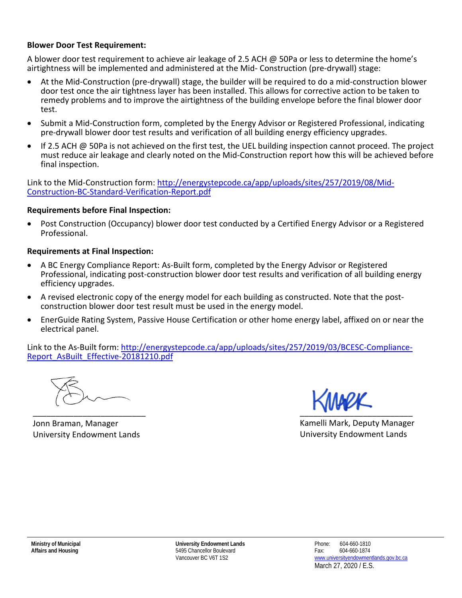## **Blower Door Test Requirement:**

A blower door test requirement to achieve air leakage of 2.5 ACH @ 50Pa or less to determine the home's airtightness will be implemented and administered at the Mid- Construction (pre-drywall) stage:

- At the Mid-Construction (pre-drywall) stage, the builder will be required to do a mid-construction blower door test once the air tightness layer has been installed. This allows for corrective action to be taken to remedy problems and to improve the airtightness of the building envelope before the final blower door test.
- Submit a Mid-Construction form, completed by the Energy Advisor or Registered Professional, indicating pre-drywall blower door test results and verification of all building energy efficiency upgrades.
- If 2.5 ACH @ 50Pa is not achieved on the first test, the UEL building inspection cannot proceed. The project must reduce air leakage and clearly noted on the Mid-Construction report how this will be achieved before final inspection.

Link to the Mid-Construction form: [http://energystepcode.ca/app/uploads/sites/257/2019/08/Mid-](http://energystepcode.ca/app/uploads/sites/257/2019/08/Mid-Construction-BC-Standard-Verification-Report.pdf)[Construction-BC-Standard-Verification-Report.pdf](http://energystepcode.ca/app/uploads/sites/257/2019/08/Mid-Construction-BC-Standard-Verification-Report.pdf)

## **Requirements before Final Inspection:**

• Post Construction (Occupancy) blower door test conducted by a Certified Energy Advisor or a Registered Professional.

## **Requirements at Final Inspection:**

- A BC Energy Compliance Report: As-Built form, completed by the Energy Advisor or Registered Professional, indicating post-construction blower door test results and verification of all building energy efficiency upgrades.
- A revised electronic copy of the energy model for each building as constructed. Note that the postconstruction blower door test result must be used in the energy model.
- EnerGuide Rating System, Passive House Certification or other home energy label, affixed on or near the electrical panel.

Link to the As-Built form: [http://energystepcode.ca/app/uploads/sites/257/2019/03/BCESC-Compliance-](http://energystepcode.ca/app/uploads/sites/257/2019/03/BCESC-Compliance-Report_AsBuilt_Effective-20181210.pdf)[Report\\_AsBuilt\\_Effective-20181210.pdf](http://energystepcode.ca/app/uploads/sites/257/2019/03/BCESC-Compliance-Report_AsBuilt_Effective-20181210.pdf)

\_\_\_\_\_\_\_\_\_\_\_\_\_\_\_\_\_\_\_\_\_\_\_\_\_

Jonn Braman, Manager University Endowment Lands

 $\overline{\phantom{a}}$ 

Kamelli Mark, Deputy Manager University Endowment Lands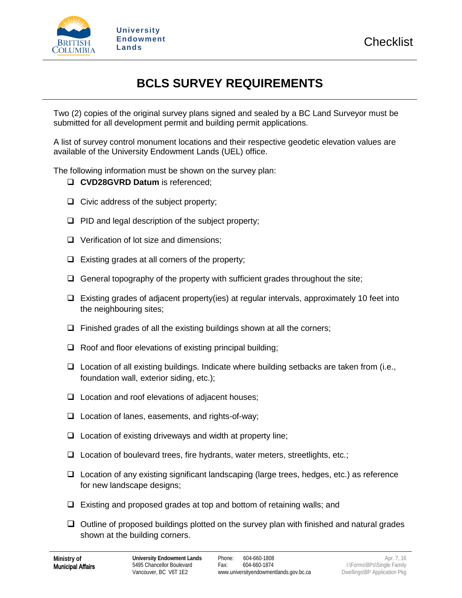

# **BCLS SURVEY REQUIREMENTS**

Two (2) copies of the original survey plans signed and sealed by a BC Land Surveyor must be submitted for all development permit and building permit applications.

A list of survey control monument locations and their respective geodetic elevation values are available of the University Endowment Lands (UEL) office.

The following information must be shown on the survey plan:

- **CVD28GVRD Datum** is referenced;
- $\Box$  Civic address of the subject property;
- $\Box$  PID and legal description of the subject property;
- $\Box$  Verification of lot size and dimensions;
- $\Box$  Existing grades at all corners of the property;
- $\Box$  General topography of the property with sufficient grades throughout the site;
- Existing grades of adjacent property(ies) at regular intervals, approximately 10 feet into the neighbouring sites;
- $\Box$  Finished grades of all the existing buildings shown at all the corners;
- $\Box$  Roof and floor elevations of existing principal building;
- $\Box$  Location of all existing buildings. Indicate where building setbacks are taken from (i.e., foundation wall, exterior siding, etc.);
- $\Box$  Location and roof elevations of adjacent houses;
- $\Box$  Location of lanes, easements, and rights-of-way;
- $\Box$  Location of existing driveways and width at property line;
- $\Box$  Location of boulevard trees, fire hydrants, water meters, streetlights, etc.;
- $\Box$  Location of any existing significant landscaping (large trees, hedges, etc.) as reference for new landscape designs;
- $\Box$  Existing and proposed grades at top and bottom of retaining walls; and
- $\Box$  Outline of proposed buildings plotted on the survey plan with finished and natural grades shown at the building corners.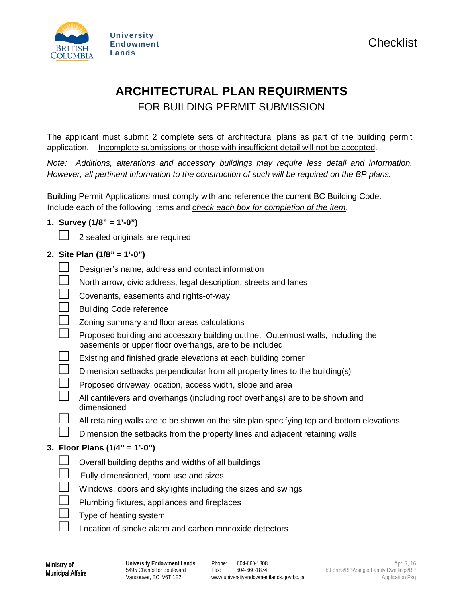

# **ARCHITECTURAL PLAN REQUIRMENTS**  FOR BUILDING PERMIT SUBMISSION

The applicant must submit 2 complete sets of architectural plans as part of the building permit application. Incomplete submissions or those with insufficient detail will not be accepted.

*Note: Additions, alterations and accessory buildings may require less detail and information. However, all pertinent information to the construction of such will be required on the BP plans.*

Building Permit Applications must comply with and reference the current BC Building Code. Include each of the following items and *check each box for completion of the item*.

## **1. Survey (1/8" = 1'-0")**

2 sealed originals are required

## **2. Site Plan (1/8" = 1'-0")**

|  | 2. Site Plan $(1/8" = 1'-0")$                                                                                                              |
|--|--------------------------------------------------------------------------------------------------------------------------------------------|
|  | Designer's name, address and contact information                                                                                           |
|  | North arrow, civic address, legal description, streets and lanes                                                                           |
|  | Covenants, easements and rights-of-way                                                                                                     |
|  | <b>Building Code reference</b>                                                                                                             |
|  | Zoning summary and floor areas calculations                                                                                                |
|  | Proposed building and accessory building outline. Outermost walls, including the<br>basements or upper floor overhangs, are to be included |
|  | Existing and finished grade elevations at each building corner                                                                             |
|  | Dimension setbacks perpendicular from all property lines to the building(s)                                                                |
|  | Proposed driveway location, access width, slope and area                                                                                   |
|  | All cantilevers and overhangs (including roof overhangs) are to be shown and<br>dimensioned                                                |
|  | All retaining walls are to be shown on the site plan specifying top and bottom elevations                                                  |
|  | Dimension the setbacks from the property lines and adjacent retaining walls                                                                |
|  | 3. Floor Plans (1/4" = 1'-0")                                                                                                              |
|  | Overall building depths and widths of all buildings                                                                                        |
|  | Fully dimensioned, room use and sizes                                                                                                      |
|  | Windows, doors and skylights including the sizes and swings                                                                                |
|  | Plumbing fixtures, appliances and fireplaces                                                                                               |
|  | Type of heating system                                                                                                                     |
|  |                                                                                                                                            |

 $\Box$  Location of smoke alarm and carbon monoxide detectors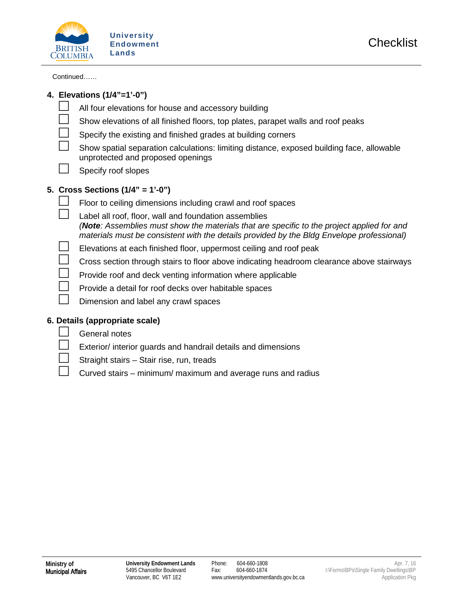

Continued……

|  | 4. Elevations (1/4"=1'-0")                                                                                                                                                                                                                       |
|--|--------------------------------------------------------------------------------------------------------------------------------------------------------------------------------------------------------------------------------------------------|
|  | All four elevations for house and accessory building                                                                                                                                                                                             |
|  | Show elevations of all finished floors, top plates, parapet walls and roof peaks                                                                                                                                                                 |
|  | Specify the existing and finished grades at building corners                                                                                                                                                                                     |
|  | Show spatial separation calculations: limiting distance, exposed building face, allowable<br>unprotected and proposed openings                                                                                                                   |
|  | Specify roof slopes                                                                                                                                                                                                                              |
|  | 5. Cross Sections $(1/4" = 1'-0")$                                                                                                                                                                                                               |
|  | Floor to ceiling dimensions including crawl and roof spaces                                                                                                                                                                                      |
|  | Label all roof, floor, wall and foundation assemblies<br>(Note: Assemblies must show the materials that are specific to the project applied for and<br>materials must be consistent with the details provided by the Bldg Envelope professional) |
|  | Elevations at each finished floor, uppermost ceiling and roof peak                                                                                                                                                                               |
|  | Cross section through stairs to floor above indicating headroom clearance above stairways                                                                                                                                                        |
|  | Provide roof and deck venting information where applicable                                                                                                                                                                                       |
|  | Provide a detail for roof decks over habitable spaces                                                                                                                                                                                            |
|  | Dimension and label any crawl spaces                                                                                                                                                                                                             |
|  | 6. Details (appropriate scale)                                                                                                                                                                                                                   |
|  | General notes                                                                                                                                                                                                                                    |
|  | Exterior/ interior guards and handrail details and dimensions                                                                                                                                                                                    |
|  | Straight stairs - Stair rise, run, treads                                                                                                                                                                                                        |

 $\Box$  Curved stairs – minimum/ maximum and average runs and radius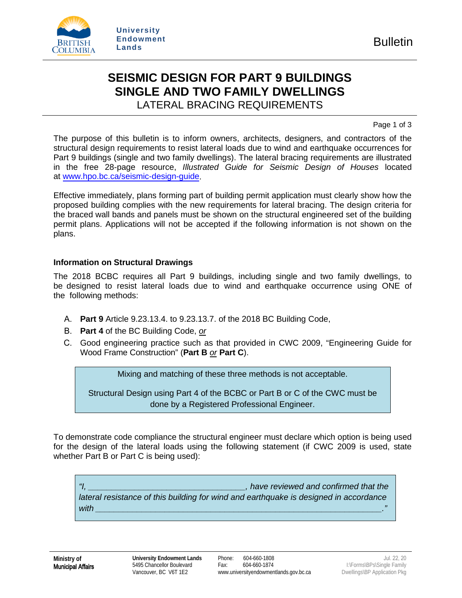

## **SEISMIC DESIGN FOR PART 9 BUILDINGS SINGLE AND TWO FAMILY DWELLINGS** LATERAL BRACING REQUIREMENTS

Page 1 of 3

The purpose of this bulletin is to inform owners, architects, designers, and contractors of the structural design requirements to resist lateral loads due to wind and earthquake occurrences for Part 9 buildings (single and two family dwellings). The lateral bracing requirements are illustrated in the free 28-page resource, *Illustrated Guide for Seismic Design of Houses* located a[t www.hpo.bc.ca/seismic-design-guide.](http://www.hpo.bc.ca/seismic-design-guide)

Effective immediately, plans forming part of building permit application must clearly show how the proposed building complies with the new requirements for lateral bracing. The design criteria for the braced wall bands and panels must be shown on the structural engineered set of the building permit plans. Applications will not be accepted if the following information is not shown on the plans.

## **Information on Structural Drawings**

The 2018 BCBC requires all Part 9 buildings, including single and two family dwellings, to be designed to resist lateral loads due to wind and earthquake occurrence using ONE of the following methods:

- A. **Part 9** Article 9.23.13.4. to 9.23.13.7. of the 2018 BC Building Code,
- B. **Part 4** of the BC Building Code, *or*
- C. Good engineering practice such as that provided in CWC 2009, "Engineering Guide for Wood Frame Construction" (**Part B** *or* **Part C**).

Mixing and matching of these three methods is not acceptable.

Structural Design using Part 4 of the BCBC or Part B or C of the CWC must be done by a Registered Professional Engineer.

To demonstrate code compliance the structural engineer must declare which option is being used for the design of the lateral loads using the following statement (if CWC 2009 is used, state whether Part B or Part C is being used):

*"I, \_\_\_\_\_\_\_\_\_\_\_\_\_\_\_\_\_\_\_\_\_\_\_\_\_\_\_\_\_\_\_\_\_\_, have reviewed and confirmed that the lateral resistance of this building for wind and earthquake is designed in accordance with \_\_\_\_\_\_\_\_\_\_\_\_\_\_\_\_\_\_\_\_\_\_\_\_\_\_\_\_\_\_\_\_\_\_\_\_\_\_\_\_\_\_\_\_\_\_\_\_\_\_\_\_\_\_\_\_\_\_\_\_\_\_."*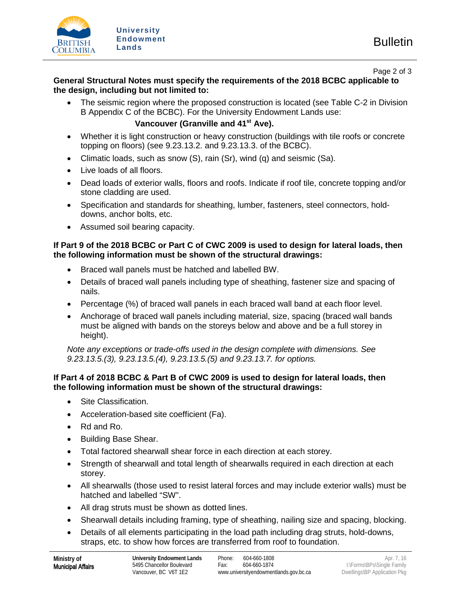

Page 2 of 3

## **General Structural Notes must specify the requirements of the 2018 BCBC applicable to the design, including but not limited to:**

• The seismic region where the proposed construction is located (see Table C-2 in Division B Appendix C of the BCBC). For the University Endowment Lands use:

## Vancouver (Granville and 41<sup>st</sup> Ave).

- Whether it is light construction or heavy construction (buildings with tile roofs or concrete topping on floors) (see 9.23.13.2. and 9.23.13.3. of the BCBC).
- Climatic loads, such as snow (S), rain (Sr), wind (q) and seismic (Sa).
- Live loads of all floors.
- Dead loads of exterior walls, floors and roofs. Indicate if roof tile, concrete topping and/or stone cladding are used.
- Specification and standards for sheathing, lumber, fasteners, steel connectors, holddowns, anchor bolts, etc.
- Assumed soil bearing capacity.

## **If Part 9 of the 2018 BCBC or Part C of CWC 2009 is used to design for lateral loads, then the following information must be shown of the structural drawings:**

- Braced wall panels must be hatched and labelled BW.
- Details of braced wall panels including type of sheathing, fastener size and spacing of nails.
- Percentage (%) of braced wall panels in each braced wall band at each floor level.
- Anchorage of braced wall panels including material, size, spacing (braced wall bands must be aligned with bands on the storeys below and above and be a full storey in height).

*Note any exceptions or trade-offs used in the design complete with dimensions. See 9.23.13.5.(3), 9.23.13.5.(4), 9.23.13.5.(5) and 9.23.13.7. for options.*

## **If Part 4 of 2018 BCBC & Part B of CWC 2009 is used to design for lateral loads, then the following information must be shown of the structural drawings:**

- Site Classification.
- Acceleration-based site coefficient (Fa).
- Rd and Ro.
- Building Base Shear.
- Total factored shearwall shear force in each direction at each storey.
- Strength of shearwall and total length of shearwalls required in each direction at each storey.
- All shearwalls (those used to resist lateral forces and may include exterior walls) must be hatched and labelled "SW".
- All drag struts must be shown as dotted lines.
- Shearwall details including framing, type of sheathing, nailing size and spacing, blocking.
- Details of all elements participating in the load path including drag struts, hold-downs, straps, etc. to show how forces are transferred from roof to foundation.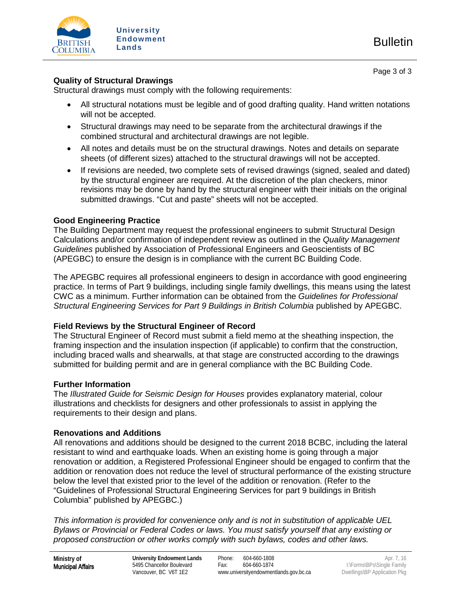

## **Quality of Structural Drawings**

Structural drawings must comply with the following requirements:

- All structural notations must be legible and of good drafting quality. Hand written notations will not be accepted.
- Structural drawings may need to be separate from the architectural drawings if the combined structural and architectural drawings are not legible.
- All notes and details must be on the structural drawings. Notes and details on separate sheets (of different sizes) attached to the structural drawings will not be accepted.
- If revisions are needed, two complete sets of revised drawings (signed, sealed and dated) by the structural engineer are required. At the discretion of the plan checkers, minor revisions may be done by hand by the structural engineer with their initials on the original submitted drawings. "Cut and paste" sheets will not be accepted.

## **Good Engineering Practice**

The Building Department may request the professional engineers to submit Structural Design Calculations and/or confirmation of independent review as outlined in the *Quality Management Guidelines* published by Association of Professional Engineers and Geoscientists of BC (APEGBC) to ensure the design is in compliance with the current BC Building Code.

The APEGBC requires all professional engineers to design in accordance with good engineering practice. In terms of Part 9 buildings, including single family dwellings, this means using the latest CWC as a minimum. Further information can be obtained from the *Guidelines for Professional Structural Engineering Services for Part 9 Buildings in British Columbia* published by APEGBC.

## **Field Reviews by the Structural Engineer of Record**

The Structural Engineer of Record must submit a field memo at the sheathing inspection, the framing inspection and the insulation inspection (if applicable) to confirm that the construction, including braced walls and shearwalls, at that stage are constructed according to the drawings submitted for building permit and are in general compliance with the BC Building Code.

## **Further Information**

The *Illustrated Guide for Seismic Design for Houses* provides explanatory material, colour illustrations and checklists for designers and other professionals to assist in applying the requirements to their design and plans.

## **Renovations and Additions**

All renovations and additions should be designed to the current 2018 BCBC, including the lateral resistant to wind and earthquake loads. When an existing home is going through a major renovation or addition, a Registered Professional Engineer should be engaged to confirm that the addition or renovation does not reduce the level of structural performance of the existing structure below the level that existed prior to the level of the addition or renovation. (Refer to the "Guidelines of Professional Structural Engineering Services for part 9 buildings in British Columbia" published by APEGBC.)

*This information is provided for convenience only and is not in substitution of applicable UEL Bylaws or Provincial or Federal Codes or laws. You must satisfy yourself that any existing or proposed construction or other works comply with such bylaws, codes and other laws.*

**Ministry of**  Municipal Affairs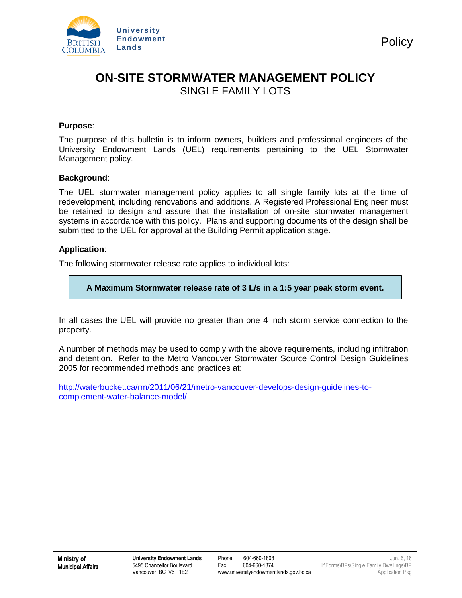

## **ON-SITE STORMWATER MANAGEMENT POLICY** SINGLE FAMILY LOTS

### **Purpose**:

The purpose of this bulletin is to inform owners, builders and professional engineers of the University Endowment Lands (UEL) requirements pertaining to the UEL Stormwater Management policy.

### **Background**:

The UEL stormwater management policy applies to all single family lots at the time of redevelopment, including renovations and additions. A Registered Professional Engineer must be retained to design and assure that the installation of on-site stormwater management systems in accordance with this policy. Plans and supporting documents of the design shall be submitted to the UEL for approval at the Building Permit application stage.

### **Application**:

The following stormwater release rate applies to individual lots:

**A Maximum Stormwater release rate of 3 L/s in a 1:5 year peak storm event.**

In all cases the UEL will provide no greater than one 4 inch storm service connection to the property.

A number of methods may be used to comply with the above requirements, including infiltration and detention. Refer to the Metro Vancouver Stormwater Source Control Design Guidelines 2005 for recommended methods and practices at:

[http://waterbucket.ca/rm/2011/06/21/metro-vancouver-develops-design-guidelines-to](http://waterbucket.ca/rm/2011/06/21/metro-vancouver-develops-design-guidelines-to-complement-water-balance-model/)[complement-water-balance-model/](http://waterbucket.ca/rm/2011/06/21/metro-vancouver-develops-design-guidelines-to-complement-water-balance-model/)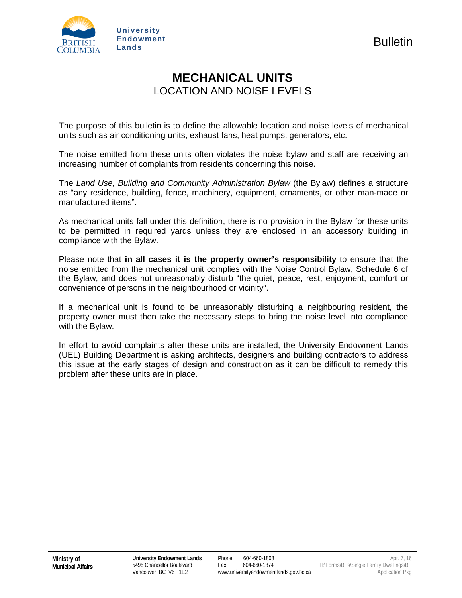

## **MECHANICAL UNITS** LOCATION AND NOISE LEVELS

The purpose of this bulletin is to define the allowable location and noise levels of mechanical units such as air conditioning units, exhaust fans, heat pumps, generators, etc.

The noise emitted from these units often violates the noise bylaw and staff are receiving an increasing number of complaints from residents concerning this noise.

The *Land Use, Building and Community Administration Bylaw* (the Bylaw) defines a structure as "any residence, building, fence, machinery, equipment, ornaments, or other man-made or manufactured items".

As mechanical units fall under this definition, there is no provision in the Bylaw for these units to be permitted in required yards unless they are enclosed in an accessory building in compliance with the Bylaw.

Please note that **in all cases it is the property owner's responsibility** to ensure that the noise emitted from the mechanical unit complies with the Noise Control Bylaw, Schedule 6 of the Bylaw, and does not unreasonably disturb "the quiet, peace, rest, enjoyment, comfort or convenience of persons in the neighbourhood or vicinity".

If a mechanical unit is found to be unreasonably disturbing a neighbouring resident, the property owner must then take the necessary steps to bring the noise level into compliance with the Bylaw.

In effort to avoid complaints after these units are installed, the University Endowment Lands (UEL) Building Department is asking architects, designers and building contractors to address this issue at the early stages of design and construction as it can be difficult to remedy this problem after these units are in place.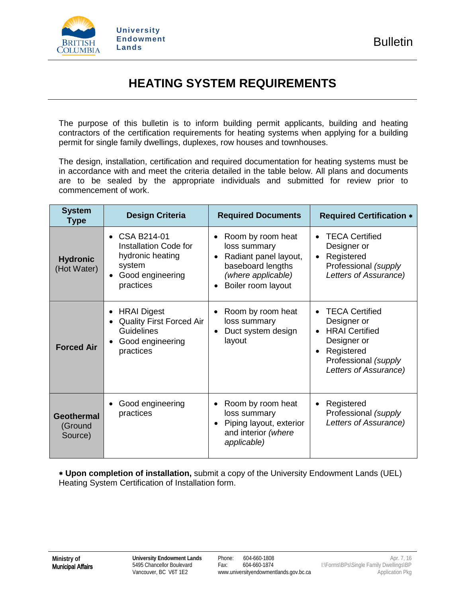

# **HEATING SYSTEM REQUIREMENTS**

The purpose of this bulletin is to inform building permit applicants, building and heating contractors of the certification requirements for heating systems when applying for a building permit for single family dwellings, duplexes, row houses and townhouses.

The design, installation, certification and required documentation for heating systems must be in accordance with and meet the criteria detailed in the table below. All plans and documents are to be sealed by the appropriate individuals and submitted for review prior to commencement of work.

| <b>System</b><br>Type                   | <b>Design Criteria</b>                                                                                                             | <b>Required Documents</b>                                                                                                        | <b>Required Certification *</b>                                                                                                             |
|-----------------------------------------|------------------------------------------------------------------------------------------------------------------------------------|----------------------------------------------------------------------------------------------------------------------------------|---------------------------------------------------------------------------------------------------------------------------------------------|
| <b>Hydronic</b><br>(Hot Water)          | • CSA B214-01<br>Installation Code for<br>hydronic heating<br>system<br>Good engineering<br>$\bullet$<br>practices                 | Room by room heat<br>٠<br>loss summary<br>Radiant panel layout,<br>baseboard lengths<br>(where applicable)<br>Boiler room layout | <b>TECA Certified</b><br>$\bullet$<br>Designer or<br>Registered<br>$\bullet$<br>Professional (supply<br>Letters of Assurance)               |
| <b>Forced Air</b>                       | <b>HRAI</b> Digest<br>٠<br><b>Quality First Forced Air</b><br>٠<br><b>Guidelines</b><br>Good engineering<br>$\bullet$<br>practices | Room by room heat<br>٠<br>loss summary<br>Duct system design<br>layout                                                           | <b>TECA Certified</b><br>Designer or<br><b>HRAI</b> Certified<br>Designer or<br>Registered<br>Professional (supply<br>Letters of Assurance) |
| <b>Geothermal</b><br>(Ground<br>Source) | Good engineering<br>٠<br>practices                                                                                                 | Room by room heat<br>$\bullet$<br>loss summary<br>Piping layout, exterior<br>$\bullet$<br>and interior (where<br>applicable)     | Registered<br>$\bullet$<br>Professional (supply<br>Letters of Assurance)                                                                    |

∗ **Upon completion of installation,** submit a copy of the University Endowment Lands (UEL) Heating System Certification of Installation form.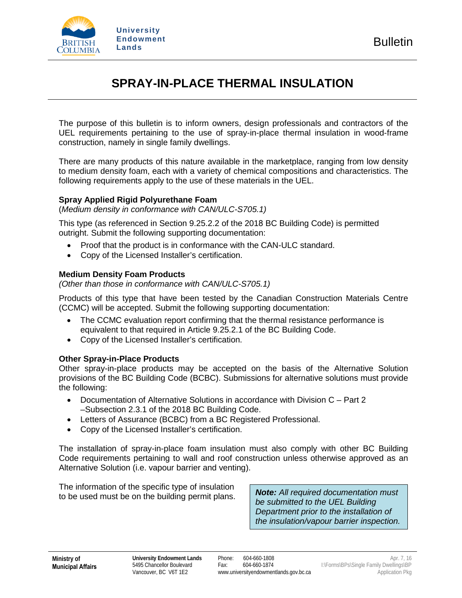

# **SPRAY-IN-PLACE THERMAL INSULATION**

The purpose of this bulletin is to inform owners, design professionals and contractors of the UEL requirements pertaining to the use of spray-in-place thermal insulation in wood-frame construction, namely in single family dwellings.

There are many products of this nature available in the marketplace, ranging from low density to medium density foam, each with a variety of chemical compositions and characteristics. The following requirements apply to the use of these materials in the UEL.

### **Spray Applied Rigid Polyurethane Foam**

(*Medium density in conformance with CAN/ULC-S705.1)* 

This type (as referenced in Section 9.25.2.2 of the 2018 BC Building Code) is permitted outright. Submit the following supporting documentation:

- Proof that the product is in conformance with the CAN-ULC standard.
- Copy of the Licensed Installer's certification.

### **Medium Density Foam Products**

*(Other than those in conformance with CAN/ULC-S705.1)*

Products of this type that have been tested by the Canadian Construction Materials Centre (CCMC) will be accepted. Submit the following supporting documentation:

- The CCMC evaluation report confirming that the thermal resistance performance is equivalent to that required in Article 9.25.2.1 of the BC Building Code.
- Copy of the Licensed Installer's certification.

## **Other Spray-in-Place Products**

Other spray-in-place products may be accepted on the basis of the Alternative Solution provisions of the BC Building Code (BCBC). Submissions for alternative solutions must provide the following:

- Documentation of Alternative Solutions in accordance with Division C Part 2 –Subsection 2.3.1 of the 2018 BC Building Code.
- Letters of Assurance (BCBC) from a BC Registered Professional.
- Copy of the Licensed Installer's certification.

The installation of spray-in-place foam insulation must also comply with other BC Building Code requirements pertaining to wall and roof construction unless otherwise approved as an Alternative Solution (i.e. vapour barrier and venting).

The information of the specific type of insulation to be used must be on the building permit plans. *Note: All required documentation must* 

*be submitted to the UEL Building Department prior to the installation of the insulation/vapour barrier inspection.*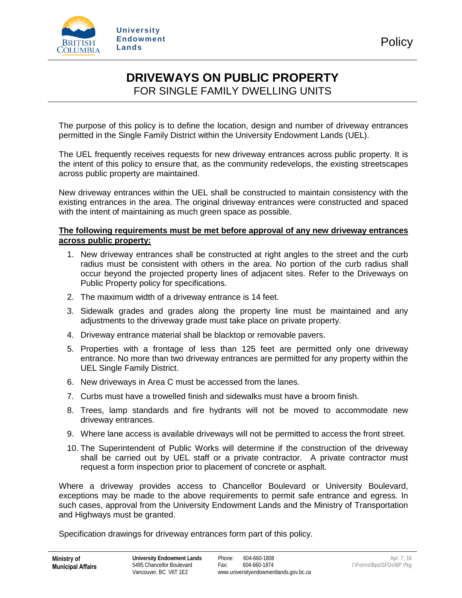

## **DRIVEWAYS ON PUBLIC PROPERTY**  FOR SINGLE FAMILY DWELLING UNITS

The purpose of this policy is to define the location, design and number of driveway entrances permitted in the Single Family District within the University Endowment Lands (UEL).

The UEL frequently receives requests for new driveway entrances across public property. It is the intent of this policy to ensure that, as the community redevelops, the existing streetscapes across public property are maintained.

New driveway entrances within the UEL shall be constructed to maintain consistency with the existing entrances in the area. The original driveway entrances were constructed and spaced with the intent of maintaining as much green space as possible.

### **The following requirements must be met before approval of any new driveway entrances across public property:**

- 1. New driveway entrances shall be constructed at right angles to the street and the curb radius must be consistent with others in the area. No portion of the curb radius shall occur beyond the projected property lines of adjacent sites. Refer to the Driveways on Public Property policy for specifications.
- 2. The maximum width of a driveway entrance is 14 feet.
- 3. Sidewalk grades and grades along the property line must be maintained and any adjustments to the driveway grade must take place on private property.
- 4. Driveway entrance material shall be blacktop or removable pavers.
- 5. Properties with a frontage of less than 125 feet are permitted only one driveway entrance. No more than two driveway entrances are permitted for any property within the UEL Single Family District.
- 6. New driveways in Area C must be accessed from the lanes.
- 7. Curbs must have a trowelled finish and sidewalks must have a broom finish.
- 8. Trees, lamp standards and fire hydrants will not be moved to accommodate new driveway entrances.
- 9. Where lane access is available driveways will not be permitted to access the front street.
- 10. The Superintendent of Public Works will determine if the construction of the driveway shall be carried out by UEL staff or a private contractor. A private contractor must request a form inspection prior to placement of concrete or asphalt.

Where a driveway provides access to Chancellor Boulevard or University Boulevard, exceptions may be made to the above requirements to permit safe entrance and egress. In such cases, approval from the University Endowment Lands and the Ministry of Transportation and Highways must be granted.

Specification drawings for driveway entrances form part of this policy.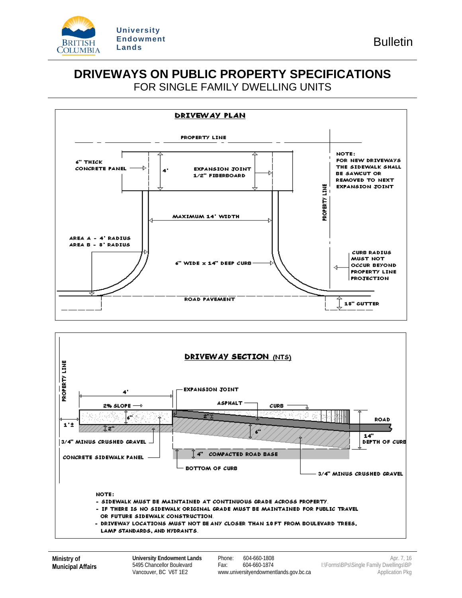

## **DRIVEWAYS ON PUBLIC PROPERTY SPECIFICATIONS** FOR SINGLE FAMILY DWELLING UNITS



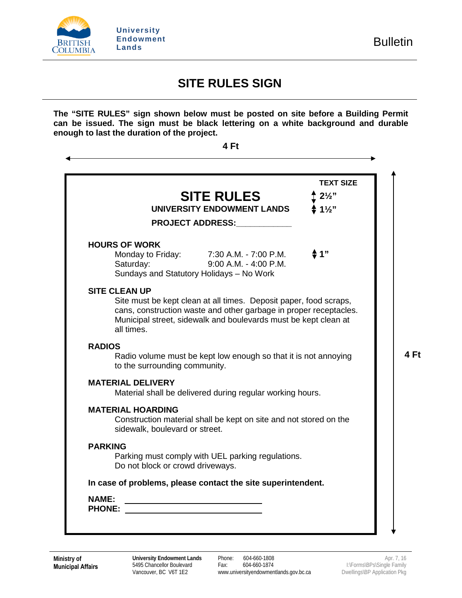

 $\overline{a}$ 

k.

# **SITE RULES SIGN**

**The "SITE RULES" sign shown below must be posted on site before a Building Permit can be issued. The sign must be black lettering on a white background and durable enough to last the duration of the project.**

| 1"<br>Site must be kept clean at all times. Deposit paper, food scraps,<br>cans, construction waste and other garbage in proper receptacles.<br>Municipal street, sidewalk and boulevards must be kept clean at |                                                                                                                                                                                                                                                                   |
|-----------------------------------------------------------------------------------------------------------------------------------------------------------------------------------------------------------------|-------------------------------------------------------------------------------------------------------------------------------------------------------------------------------------------------------------------------------------------------------------------|
|                                                                                                                                                                                                                 |                                                                                                                                                                                                                                                                   |
|                                                                                                                                                                                                                 |                                                                                                                                                                                                                                                                   |
|                                                                                                                                                                                                                 |                                                                                                                                                                                                                                                                   |
|                                                                                                                                                                                                                 |                                                                                                                                                                                                                                                                   |
|                                                                                                                                                                                                                 |                                                                                                                                                                                                                                                                   |
|                                                                                                                                                                                                                 |                                                                                                                                                                                                                                                                   |
|                                                                                                                                                                                                                 |                                                                                                                                                                                                                                                                   |
|                                                                                                                                                                                                                 | Radio volume must be kept low enough so that it is not annoying<br>Material shall be delivered during regular working hours.<br>Construction material shall be kept on site and not stored on the<br>In case of problems, please contact the site superintendent. |